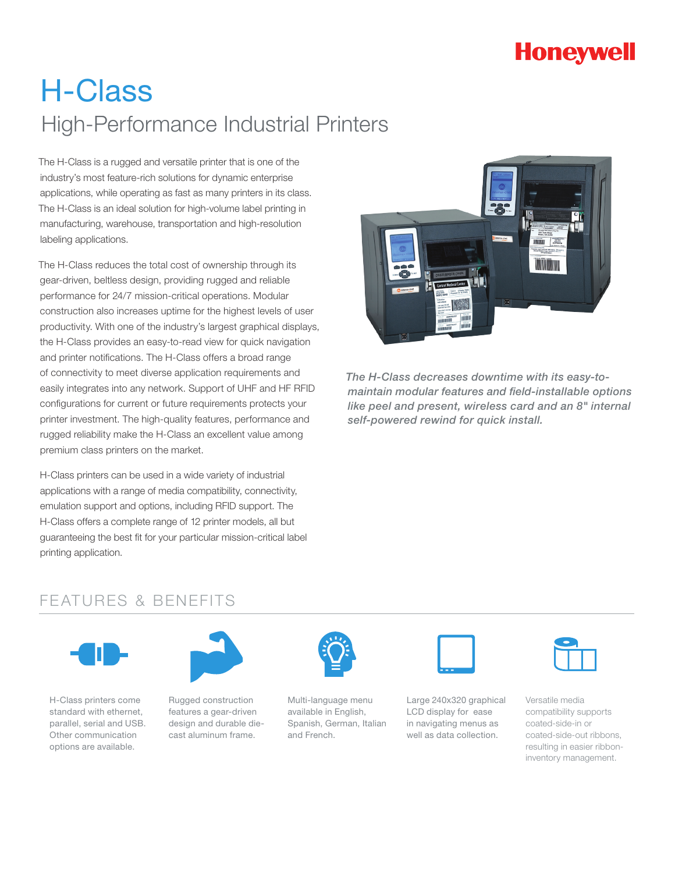# **Honeywell**

# H-Class High-Performance Industrial Printers

The H-Class is a rugged and versatile printer that is one of the industry's most feature-rich solutions for dynamic enterprise applications, while operating as fast as many printers in its class. The H-Class is an ideal solution for high-volume label printing in manufacturing, warehouse, transportation and high-resolution labeling applications.

The H-Class reduces the total cost of ownership through its gear-driven, beltless design, providing rugged and reliable performance for 24/7 mission-critical operations. Modular construction also increases uptime for the highest levels of user productivity. With one of the industry's largest graphical displays, the H-Class provides an easy-to-read view for quick navigation and printer notifications. The H-Class offers a broad range of connectivity to meet diverse application requirements and easily integrates into any network. Support of UHF and HF RFID configurations for current or future requirements protects your printer investment. The high-quality features, performance and rugged reliability make the H-Class an excellent value among premium class printers on the market.

H-Class printers can be used in a wide variety of industrial applications with a range of media compatibility, connectivity, emulation support and options, including RFID support. The H-Class offers a complete range of 12 printer models, all but guaranteeing the best fit for your particular mission-critical label printing application.



*The H-Class decreases downtime with its easy-tomaintain modular features and field-installable options like peel and present, wireless card and an 8" internal self-powered rewind for quick install.*

### FEATURES & BENEFITS



H-Class printers come standard with ethernet, parallel, serial and USB. Other communication options are available.



Rugged construction features a gear-driven design and durable diecast aluminum frame.



Multi-language menu available in English, Spanish, German, Italian and French.



Large 240x320 graphical LCD display for ease in navigating menus as well as data collection.



Versatile media compatibility supports coated-side-in or coated-side-out ribbons, resulting in easier ribboninventory management.